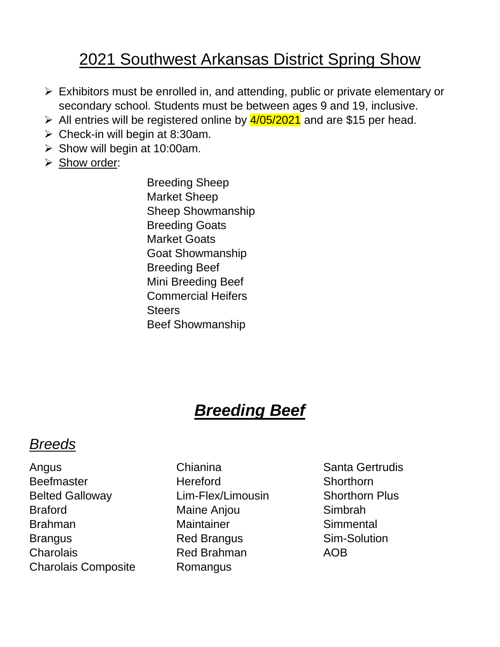### 2021 Southwest Arkansas District Spring Show

- ➢ Exhibitors must be enrolled in, and attending, public or private elementary or secondary school. Students must be between ages 9 and 19, inclusive.
- $\triangleright$  All entries will be registered online by  $\frac{4}{05}/2021$  and are \$15 per head.
- $\triangleright$  Check-in will begin at 8:30am.
- $\triangleright$  Show will begin at 10:00am.
- ➢ Show order:

Breeding Sheep Market Sheep Sheep Showmanship Breeding Goats Market Goats Goat Showmanship Breeding Beef Mini Breeding Beef Commercial Heifers **Steers** Beef Showmanship

# *Breeding Beef*

#### *Breeds*

- Angus Chianina Chianina Santa Gertrudis Beefmaster **Hereford** Hereford Shorthorn Belted Galloway **Lim-Flex/Limousin** Shorthorn Plus Braford Maine Anjou Simbrah Brahman Maintainer Simmental Brangus Red Brangus Sim-Solution Charolais Red Brahman AOB Charolais Composite Romangus
	-
-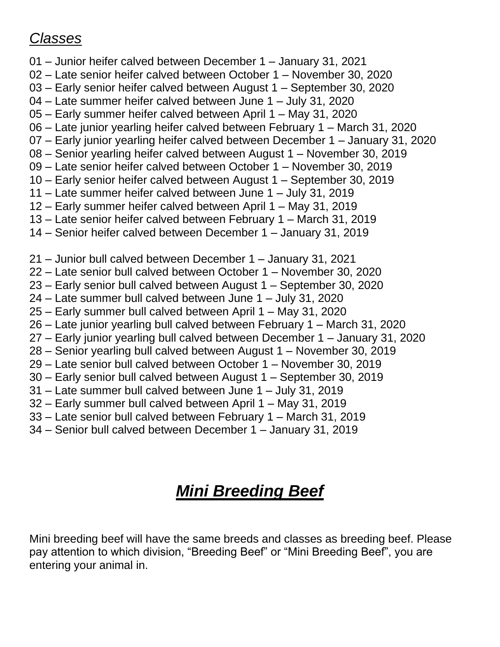#### *Classes*

- 01 Junior heifer calved between December 1 January 31, 2021
- 02 Late senior heifer calved between October 1 November 30, 2020
- 03 Early senior heifer calved between August 1 September 30, 2020
- 04 Late summer heifer calved between June 1 July 31, 2020
- 05 Early summer heifer calved between April 1 May 31, 2020
- 06 Late junior yearling heifer calved between February 1 March 31, 2020
- 07 Early junior yearling heifer calved between December 1 January 31, 2020
- 08 Senior yearling heifer calved between August 1 November 30, 2019
- 09 Late senior heifer calved between October 1 November 30, 2019
- 10 Early senior heifer calved between August 1 September 30, 2019
- 11 Late summer heifer calved between June 1 July 31, 2019
- 12 Early summer heifer calved between April 1 May 31, 2019
- 13 Late senior heifer calved between February 1 March 31, 2019
- 14 Senior heifer calved between December 1 January 31, 2019
- 21 Junior bull calved between December 1 January 31, 2021
- 22 Late senior bull calved between October 1 November 30, 2020
- 23 Early senior bull calved between August 1 September 30, 2020
- 24 Late summer bull calved between June 1 July 31, 2020
- 25 Early summer bull calved between April 1 May 31, 2020
- 26 Late junior yearling bull calved between February 1 March 31, 2020
- 27 Early junior yearling bull calved between December 1 January 31, 2020
- 28 Senior yearling bull calved between August 1 November 30, 2019
- 29 Late senior bull calved between October 1 November 30, 2019
- 30 Early senior bull calved between August 1 September 30, 2019
- 31 Late summer bull calved between June 1 July 31, 2019
- 32 Early summer bull calved between April 1 May 31, 2019
- 33 Late senior bull calved between February 1 March 31, 2019
- 34 Senior bull calved between December 1 January 31, 2019

# *Mini Breeding Beef*

Mini breeding beef will have the same breeds and classes as breeding beef. Please pay attention to which division, "Breeding Beef" or "Mini Breeding Beef", you are entering your animal in.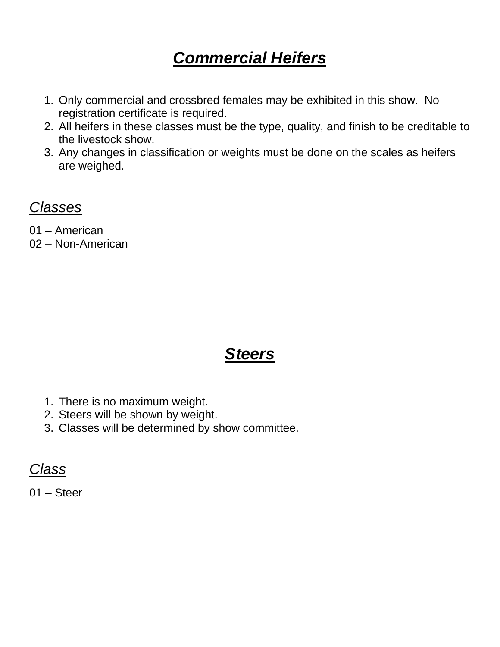### *Commercial Heifers*

- 1. Only commercial and crossbred females may be exhibited in this show. No registration certificate is required.
- 2. All heifers in these classes must be the type, quality, and finish to be creditable to the livestock show.
- 3. Any changes in classification or weights must be done on the scales as heifers are weighed.

*Classes*

01 – American

02 – Non-American

#### *Steers*

- 1. There is no maximum weight.
- 2. Steers will be shown by weight.
- 3. Classes will be determined by show committee.

*Class*

01 – Steer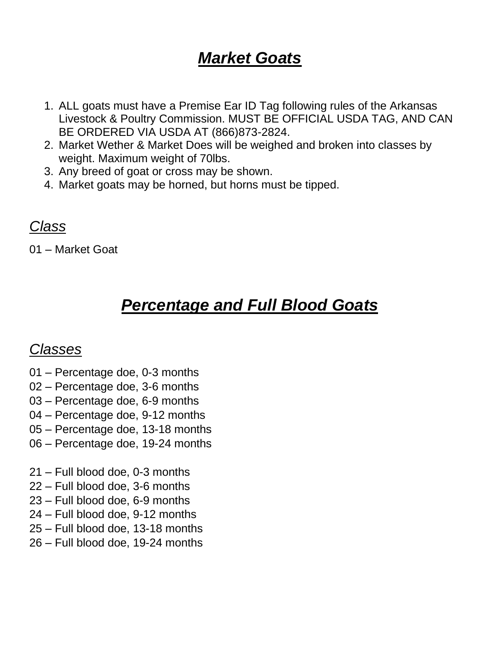### *Market Goats*

- 1. ALL goats must have a Premise Ear ID Tag following rules of the Arkansas Livestock & Poultry Commission. MUST BE OFFICIAL USDA TAG, AND CAN BE ORDERED VIA USDA AT (866)873-2824.
- 2. Market Wether & Market Does will be weighed and broken into classes by weight. Maximum weight of 70lbs.
- 3. Any breed of goat or cross may be shown.
- 4. Market goats may be horned, but horns must be tipped.

#### *Class*

01 – Market Goat

## *Percentage and Full Blood Goats*

#### *Classes*

- 01 Percentage doe, 0-3 months
- 02 Percentage doe, 3-6 months
- 03 Percentage doe, 6-9 months
- 04 Percentage doe, 9-12 months
- 05 Percentage doe, 13-18 months
- 06 Percentage doe, 19-24 months
- 21 Full blood doe, 0-3 months
- 22 Full blood doe, 3-6 months
- 23 Full blood doe, 6-9 months
- 24 Full blood doe, 9-12 months
- 25 Full blood doe, 13-18 months
- 26 Full blood doe, 19-24 months